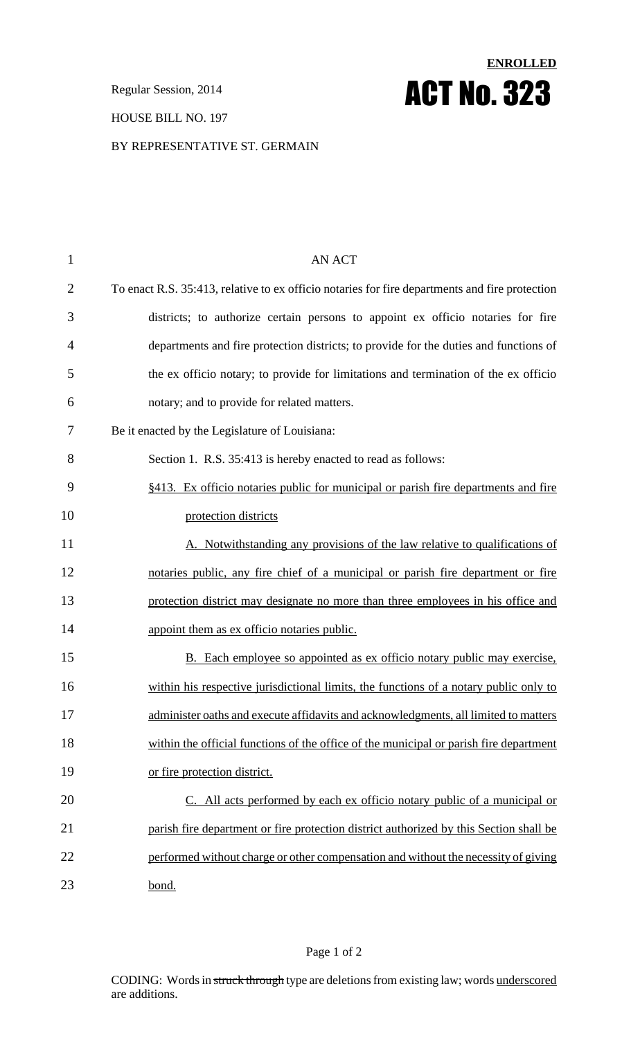**Regular Session, 2014 ACT No. 323** 

### HOUSE BILL NO. 197

#### BY REPRESENTATIVE ST. GERMAIN

| $\mathbf{1}$   | <b>AN ACT</b>                                                                                  |
|----------------|------------------------------------------------------------------------------------------------|
| $\overline{2}$ | To enact R.S. 35:413, relative to ex officio notaries for fire departments and fire protection |
| 3              | districts; to authorize certain persons to appoint ex officio notaries for fire                |
| 4              | departments and fire protection districts; to provide for the duties and functions of          |
| 5              | the ex officio notary; to provide for limitations and termination of the ex officio            |
| 6              | notary; and to provide for related matters.                                                    |
| 7              | Be it enacted by the Legislature of Louisiana:                                                 |
| 8              | Section 1. R.S. 35:413 is hereby enacted to read as follows:                                   |
| 9              | §413. Ex officio notaries public for municipal or parish fire departments and fire             |
| 10             | protection districts                                                                           |
| 11             | A. Notwithstanding any provisions of the law relative to qualifications of                     |
| 12             | notaries public, any fire chief of a municipal or parish fire department or fire               |
| 13             | protection district may designate no more than three employees in his office and               |
| 14             | appoint them as ex officio notaries public.                                                    |
| 15             | B. Each employee so appointed as ex officio notary public may exercise,                        |
| 16             | within his respective jurisdictional limits, the functions of a notary public only to          |
| 17             | administer oaths and execute affidavits and acknowledgments, all limited to matters            |
| 18             | within the official functions of the office of the municipal or parish fire department         |
| 19             | or fire protection district.                                                                   |
| 20             | C. All acts performed by each ex officio notary public of a municipal or                       |
| 21             | parish fire department or fire protection district authorized by this Section shall be         |
| 22             | performed without charge or other compensation and without the necessity of giving             |
| 23             | bond.                                                                                          |

**ENROLLED**

Page 1 of 2

CODING: Words in struck through type are deletions from existing law; words underscored are additions.